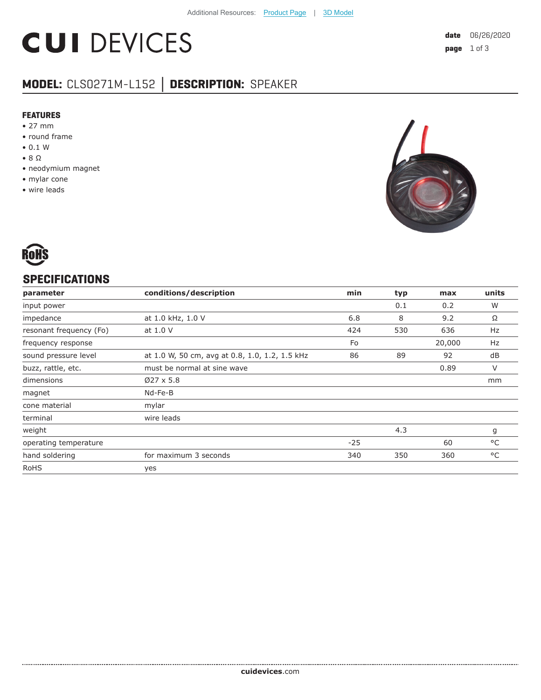# **CUI DEVICES**

## **MODEL:** CLS0271M-L152 **│ DESCRIPTION:** SPEAKER

#### **FEATURES**

- 27 mm
- round frame
- 0.1 W
- 8 Ω
- neodymium magnet
- mylar cone
- wire leads





#### **SPECIFICATIONS**

| parameter               | conditions/description                         | min   | typ | max    | units        |
|-------------------------|------------------------------------------------|-------|-----|--------|--------------|
| input power             |                                                |       | 0.1 | 0.2    | W            |
| impedance               | at 1.0 kHz, 1.0 V                              | 6.8   | 8   | 9.2    | Ω            |
| resonant frequency (Fo) | at 1.0 V                                       | 424   | 530 | 636    | Hz           |
| frequency response      |                                                | Fo    |     | 20,000 | <b>Hz</b>    |
| sound pressure level    | at 1.0 W, 50 cm, avg at 0.8, 1.0, 1.2, 1.5 kHz | 86    | 89  | 92     | dB           |
| buzz, rattle, etc.      | must be normal at sine wave                    |       |     | 0.89   | V            |
| dimensions              | $Ø27 \times 5.8$                               |       |     |        | mm           |
| magnet                  | Nd-Fe-B                                        |       |     |        |              |
| cone material           | mylar                                          |       |     |        |              |
| terminal                | wire leads                                     |       |     |        |              |
| weight                  |                                                |       | 4.3 |        | g            |
| operating temperature   |                                                | $-25$ |     | 60     | $^{\circ}$ C |
| hand soldering          | for maximum 3 seconds                          | 340   | 350 | 360    | °C           |
| <b>RoHS</b>             | yes                                            |       |     |        |              |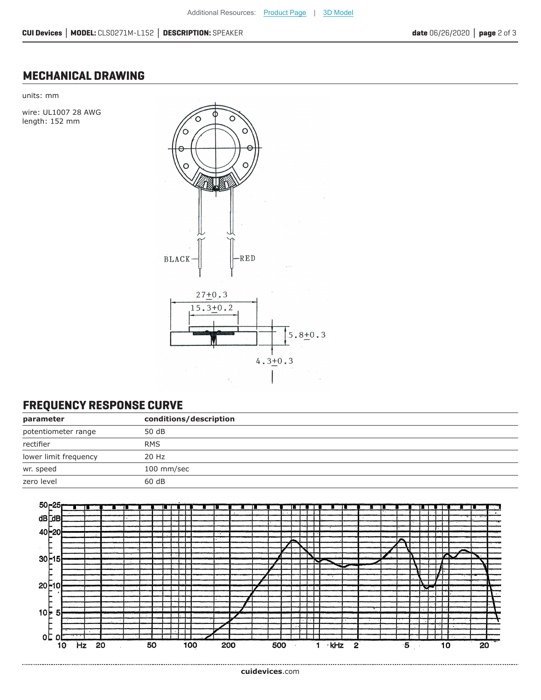### **MECHANICAL DRAWING**

units: mm

wire: UL1007 28 AWG length: 152 mm



#### **FREQUENCY RESPONSE CURVE**

| parameter             | conditions/description |  |
|-----------------------|------------------------|--|
| potentiometer range   | 50 dB                  |  |
| rectifier             | <b>RMS</b>             |  |
| lower limit frequency | 20 Hz                  |  |
| wr. speed             | 100 mm/sec             |  |
| zero level            | 60 dB                  |  |